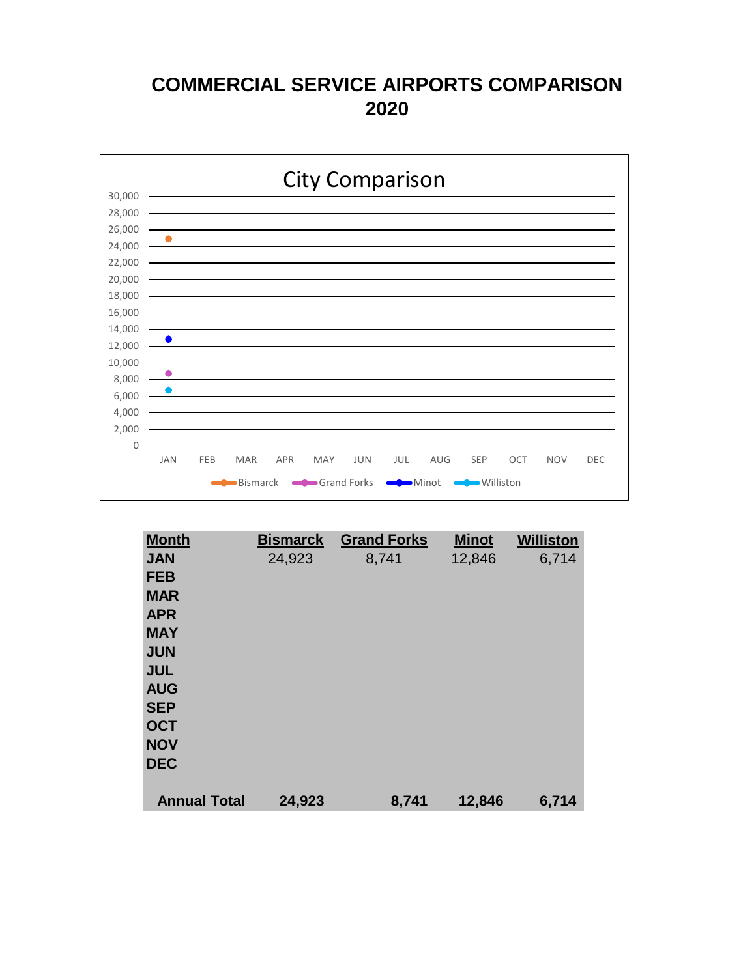## **COMMERCIAL SERVICE AIRPORTS COMPARISON 2020**



| <b>Month</b>        | <b>Bismarck</b> | <b>Grand Forks</b> | <b>Minot</b> | <b>Williston</b> |
|---------------------|-----------------|--------------------|--------------|------------------|
| <b>JAN</b>          | 24,923          | 8,741              | 12,846       | 6,714            |
| <b>FEB</b>          |                 |                    |              |                  |
| <b>MAR</b>          |                 |                    |              |                  |
| <b>APR</b>          |                 |                    |              |                  |
| <b>MAY</b>          |                 |                    |              |                  |
| <b>JUN</b>          |                 |                    |              |                  |
| <b>JUL</b>          |                 |                    |              |                  |
| <b>AUG</b>          |                 |                    |              |                  |
| <b>SEP</b>          |                 |                    |              |                  |
| <b>OCT</b>          |                 |                    |              |                  |
| <b>NOV</b>          |                 |                    |              |                  |
| <b>DEC</b>          |                 |                    |              |                  |
|                     |                 |                    |              |                  |
| <b>Annual Total</b> | 24,923          | 8,741              | 12,846       | 6,714            |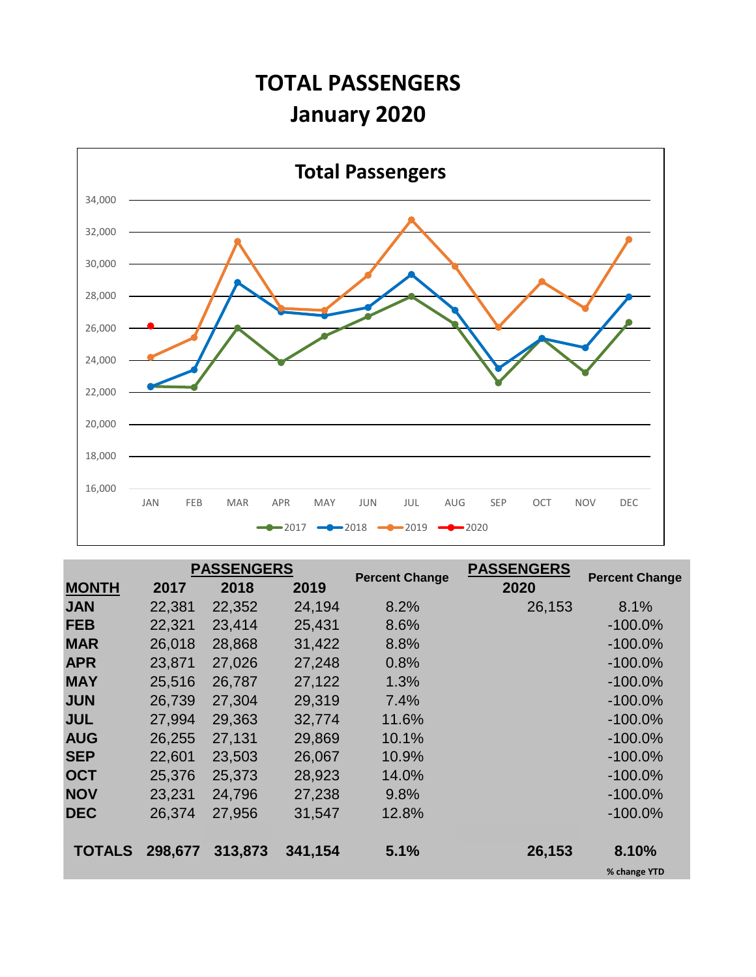# **TOTAL PASSENGERS January 2020**



|               |         | <b>PASSENGERS</b> |         |                       | <b>PASSENGERS</b> | <b>Percent Change</b> |
|---------------|---------|-------------------|---------|-----------------------|-------------------|-----------------------|
| <b>MONTH</b>  | 2017    | 2018              | 2019    | <b>Percent Change</b> | 2020              |                       |
| <b>JAN</b>    | 22,381  | 22,352            | 24,194  | 8.2%                  | 26,153            | 8.1%                  |
| <b>FEB</b>    | 22,321  | 23,414            | 25,431  | 8.6%                  |                   | $-100.0\%$            |
| <b>MAR</b>    | 26,018  | 28,868            | 31,422  | 8.8%                  |                   | $-100.0\%$            |
| <b>APR</b>    | 23,871  | 27,026            | 27,248  | 0.8%                  |                   | $-100.0\%$            |
| <b>MAY</b>    | 25,516  | 26,787            | 27,122  | 1.3%                  |                   | $-100.0\%$            |
| <b>JUN</b>    | 26,739  | 27,304            | 29,319  | 7.4%                  |                   | $-100.0\%$            |
| <b>JUL</b>    | 27,994  | 29,363            | 32,774  | 11.6%                 |                   | $-100.0\%$            |
| <b>AUG</b>    | 26,255  | 27,131            | 29,869  | 10.1%                 |                   | $-100.0\%$            |
| <b>SEP</b>    | 22,601  | 23,503            | 26,067  | 10.9%                 |                   | $-100.0\%$            |
| <b>OCT</b>    | 25,376  | 25,373            | 28,923  | 14.0%                 |                   | $-100.0\%$            |
| <b>NOV</b>    | 23,231  | 24,796            | 27,238  | 9.8%                  |                   | $-100.0\%$            |
| <b>DEC</b>    | 26,374  | 27,956            | 31,547  | 12.8%                 |                   | $-100.0\%$            |
|               |         |                   |         |                       |                   |                       |
| <b>TOTALS</b> | 298,677 | 313,873           | 341,154 | 5.1%                  | 26,153            | 8.10%                 |
|               |         |                   |         |                       |                   | % change YTD          |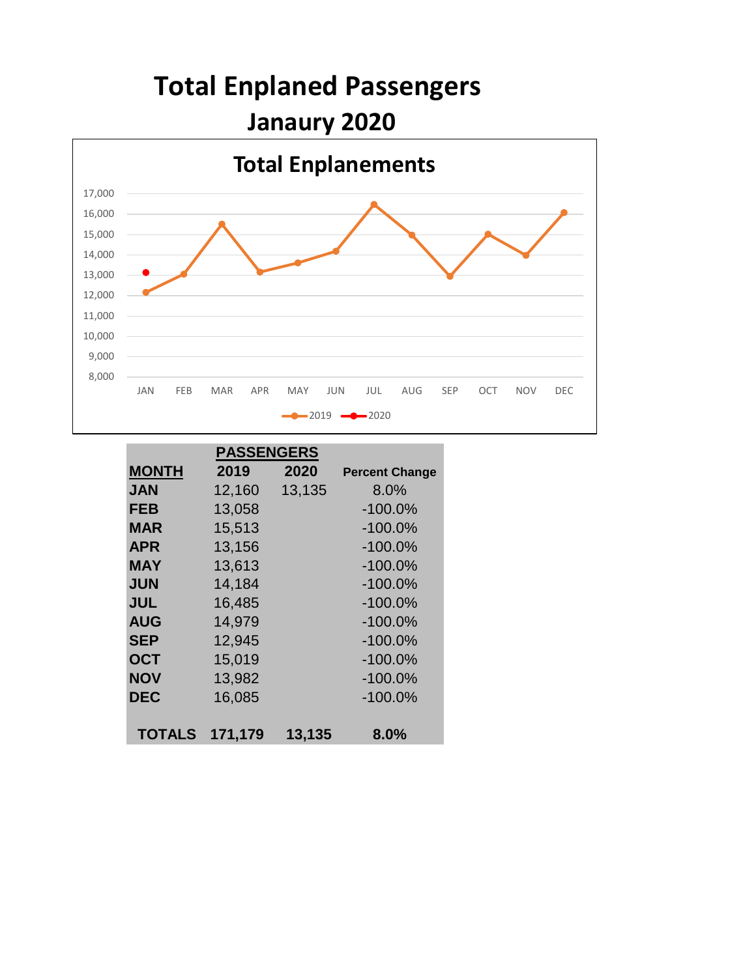

| <b>PASSENGERS</b> |         |        |                       |  |  |  |  |
|-------------------|---------|--------|-----------------------|--|--|--|--|
| <b>MONTH</b>      | 2019    | 2020   | <b>Percent Change</b> |  |  |  |  |
| <b>JAN</b>        | 12,160  | 13,135 | 8.0%                  |  |  |  |  |
| FEB               | 13,058  |        | $-100.0%$             |  |  |  |  |
| MAR               | 15,513  |        | $-100.0%$             |  |  |  |  |
| <b>APR</b>        | 13,156  |        | $-100.0%$             |  |  |  |  |
| MAY               | 13,613  |        | $-100.0%$             |  |  |  |  |
| <b>JUN</b>        | 14,184  |        | $-100.0%$             |  |  |  |  |
| <b>JUL</b>        | 16,485  |        | $-100.0%$             |  |  |  |  |
| <b>AUG</b>        | 14,979  |        | $-100.0%$             |  |  |  |  |
| <b>SEP</b>        | 12,945  |        | $-100.0%$             |  |  |  |  |
| <b>OCT</b>        | 15,019  |        | $-100.0%$             |  |  |  |  |
| <b>NOV</b>        | 13,982  |        | $-100.0%$             |  |  |  |  |
| <b>DEC</b>        | 16,085  |        | $-100.0%$             |  |  |  |  |
|                   |         |        |                       |  |  |  |  |
| <b>TOTALS</b>     | 171,179 | 13,135 | 8.0%                  |  |  |  |  |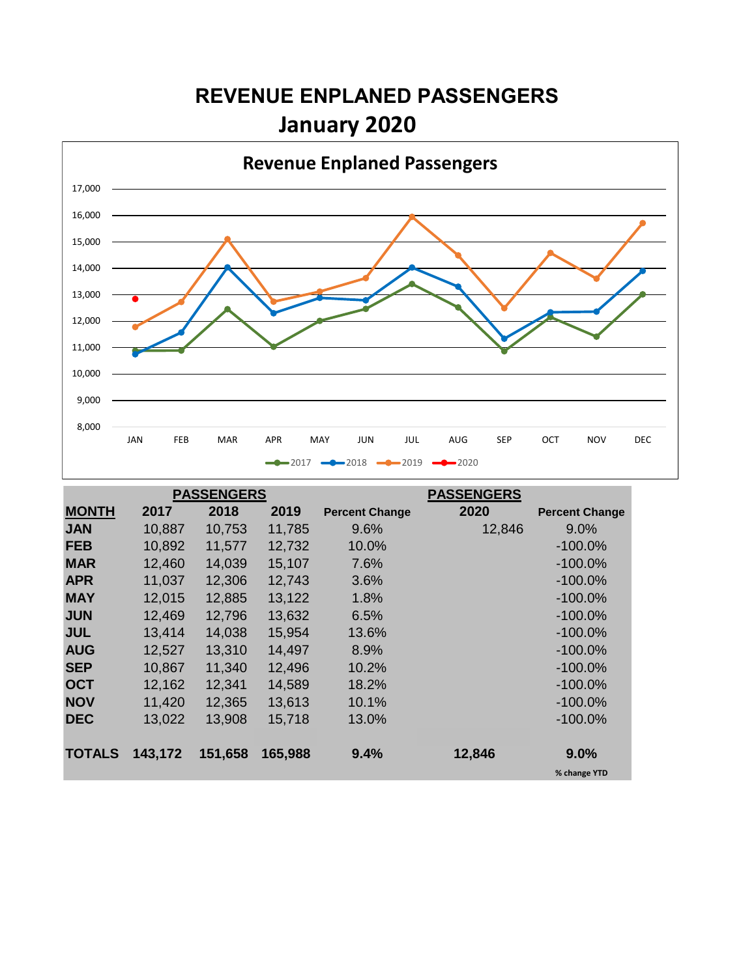# **REVENUE ENPLANED PASSENGERS January 2020**



|               |         | <b>PASSENGERS</b> | <b>PASSENGERS</b> |                       |        |                       |
|---------------|---------|-------------------|-------------------|-----------------------|--------|-----------------------|
| <b>MONTH</b>  | 2017    | 2018              | 2019              | <b>Percent Change</b> | 2020   | <b>Percent Change</b> |
| <b>JAN</b>    | 10,887  | 10,753            | 11,785            | 9.6%                  | 12,846 | $9.0\%$               |
| <b>FEB</b>    | 10,892  | 11,577            | 12,732            | 10.0%                 |        | $-100.0\%$            |
| <b>MAR</b>    | 12,460  | 14,039            | 15,107            | 7.6%                  |        | $-100.0\%$            |
| <b>APR</b>    | 11,037  | 12,306            | 12,743            | 3.6%                  |        | $-100.0\%$            |
| <b>MAY</b>    | 12,015  | 12,885            | 13,122            | 1.8%                  |        | $-100.0\%$            |
| <b>JUN</b>    | 12,469  | 12,796            | 13,632            | 6.5%                  |        | $-100.0\%$            |
| <b>JUL</b>    | 13,414  | 14,038            | 15,954            | 13.6%                 |        | $-100.0\%$            |
| <b>AUG</b>    | 12,527  | 13,310            | 14,497            | 8.9%                  |        | $-100.0%$             |
| <b>SEP</b>    | 10,867  | 11,340            | 12,496            | 10.2%                 |        | $-100.0\%$            |
| <b>OCT</b>    | 12,162  | 12,341            | 14,589            | 18.2%                 |        | $-100.0\%$            |
| <b>NOV</b>    | 11,420  | 12,365            | 13,613            | 10.1%                 |        | $-100.0\%$            |
| <b>DEC</b>    | 13,022  | 13,908            | 15,718            | 13.0%                 |        | $-100.0\%$            |
|               |         |                   |                   |                       |        |                       |
| <b>TOTALS</b> | 143,172 | 151,658           | 165,988           | 9.4%                  | 12,846 | 9.0%                  |
|               |         |                   |                   |                       |        | % change YTD          |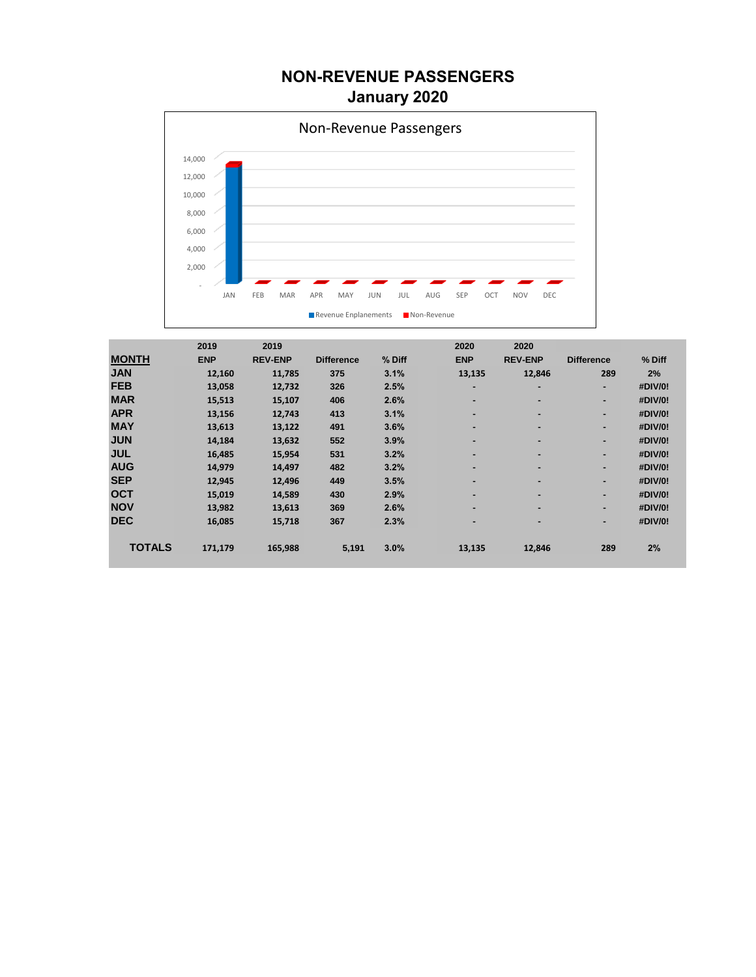#### **NON-REVENUE PASSENGERS January 2020**



|               | 2019       | 2019           |                   |        | 2020       | 2020           |                   |         |
|---------------|------------|----------------|-------------------|--------|------------|----------------|-------------------|---------|
| <b>MONTH</b>  | <b>ENP</b> | <b>REV-ENP</b> | <b>Difference</b> | % Diff | <b>ENP</b> | <b>REV-ENP</b> | <b>Difference</b> | % Diff  |
| <b>JAN</b>    | 12,160     | 11,785         | 375               | 3.1%   | 13,135     | 12,846         | 289               | 2%      |
| <b>FEB</b>    | 13,058     | 12,732         | 326               | 2.5%   |            | ۰              | -                 | #DIV/0! |
| <b>MAR</b>    | 15,513     | 15,107         | 406               | 2.6%   |            | $\blacksquare$ | ۰                 | #DIV/0! |
| <b>APR</b>    | 13,156     | 12,743         | 413               | 3.1%   |            | ۰              | -                 | #DIV/0! |
| <b>MAY</b>    | 13,613     | 13,122         | 491               | 3.6%   |            | ٠              | ۰                 | #DIV/0! |
| <b>JUN</b>    | 14,184     | 13,632         | 552               | 3.9%   |            | $\blacksquare$ |                   | #DIV/0! |
| <b>JUL</b>    | 16,485     | 15,954         | 531               | 3.2%   |            | $\blacksquare$ | ۰                 | #DIV/0! |
| <b>AUG</b>    | 14.979     | 14,497         | 482               | 3.2%   |            | ۰              |                   | #DIV/0! |
| <b>SEP</b>    | 12,945     | 12,496         | 449               | 3.5%   |            | ۰              | ۰                 | #DIV/0! |
| <b>OCT</b>    | 15,019     | 14,589         | 430               | 2.9%   | -          | ٠              | ۰                 | #DIV/0! |
| <b>NOV</b>    | 13,982     | 13,613         | 369               | 2.6%   |            | $\blacksquare$ | ۰                 | #DIV/0! |
| <b>DEC</b>    | 16,085     | 15,718         | 367               | 2.3%   |            | ۰              |                   | #DIV/0! |
|               |            |                |                   |        |            |                |                   |         |
| <b>TOTALS</b> | 171,179    | 165,988        | 5,191             | 3.0%   | 13,135     | 12,846         | 289               | 2%      |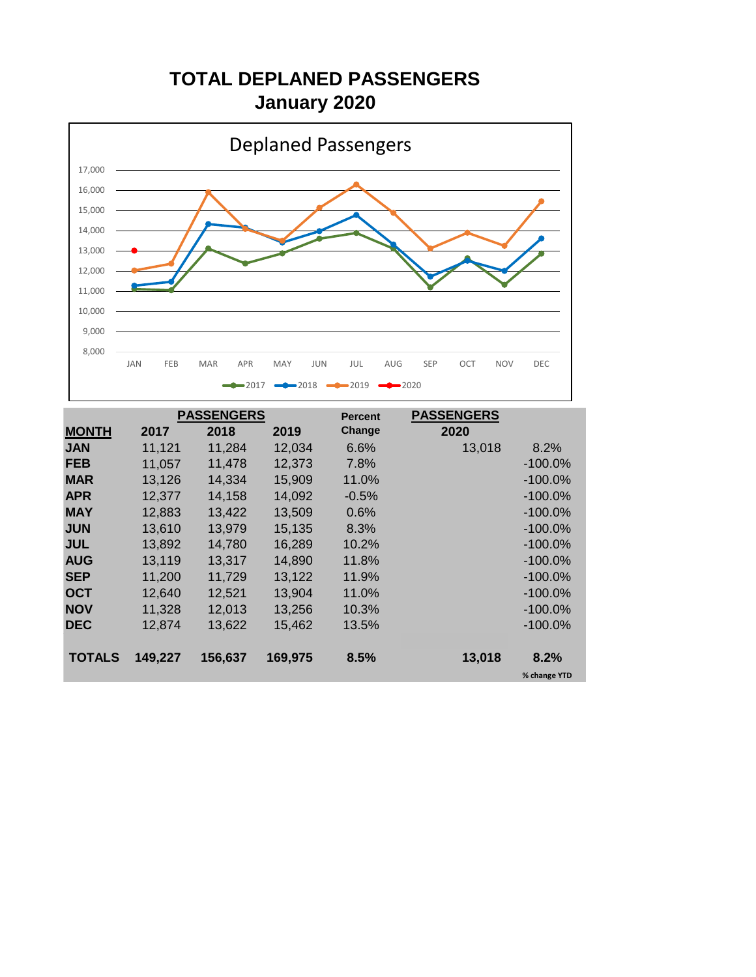### **TOTAL DEPLANED PASSENGERS January 2020**



|               |         | <b>PASSENGERS</b> |         | <b>Percent</b> | <b>PASSENGERS</b> |              |
|---------------|---------|-------------------|---------|----------------|-------------------|--------------|
| <b>MONTH</b>  | 2017    | 2018              | 2019    | Change         | 2020              |              |
| <b>JAN</b>    | 11,121  | 11,284            | 12,034  | 6.6%           | 13,018            | 8.2%         |
| <b>FEB</b>    | 11,057  | 11,478            | 12,373  | 7.8%           |                   | $-100.0\%$   |
| <b>MAR</b>    | 13,126  | 14,334            | 15,909  | 11.0%          |                   | $-100.0\%$   |
| <b>APR</b>    | 12,377  | 14,158            | 14,092  | $-0.5%$        |                   | $-100.0\%$   |
| <b>MAY</b>    | 12,883  | 13,422            | 13,509  | 0.6%           |                   | $-100.0\%$   |
| <b>JUN</b>    | 13,610  | 13,979            | 15,135  | 8.3%           |                   | $-100.0\%$   |
| <b>JUL</b>    | 13,892  | 14,780            | 16,289  | 10.2%          |                   | $-100.0\%$   |
| <b>AUG</b>    | 13,119  | 13,317            | 14,890  | 11.8%          |                   | $-100.0\%$   |
| <b>SEP</b>    | 11,200  | 11,729            | 13,122  | 11.9%          |                   | $-100.0\%$   |
| <b>OCT</b>    | 12,640  | 12,521            | 13,904  | 11.0%          |                   | $-100.0\%$   |
| <b>NOV</b>    | 11,328  | 12,013            | 13,256  | 10.3%          |                   | $-100.0\%$   |
| <b>DEC</b>    | 12,874  | 13,622            | 15,462  | 13.5%          |                   | $-100.0\%$   |
|               |         |                   |         |                |                   |              |
| <b>TOTALS</b> | 149,227 | 156,637           | 169,975 | 8.5%           | 13,018            | 8.2%         |
|               |         |                   |         |                |                   | % change YTD |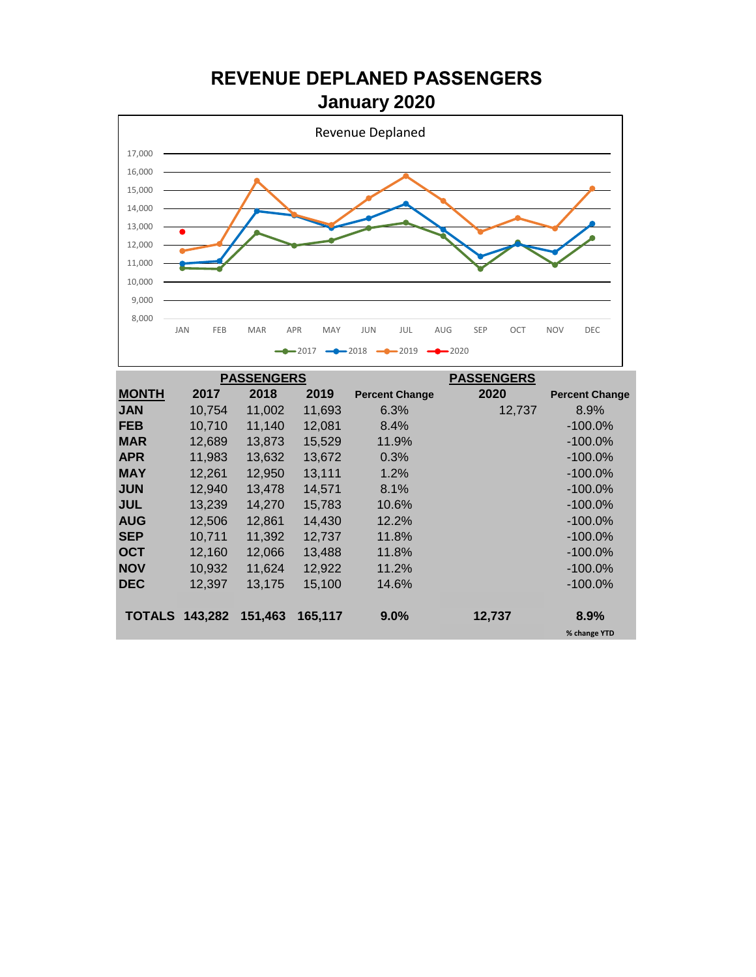## **REVENUE DEPLANED PASSENGERS January 2020**



|                       |        | <b>PASSENGERS</b> |         |                       | <b>PASSENGERS</b> |                       |
|-----------------------|--------|-------------------|---------|-----------------------|-------------------|-----------------------|
| <b>MONTH</b>          | 2017   | 2018              | 2019    | <b>Percent Change</b> | 2020              | <b>Percent Change</b> |
| <b>JAN</b>            | 10,754 | 11,002            | 11,693  | 6.3%                  | 12,737            | 8.9%                  |
| <b>FEB</b>            | 10,710 | 11,140            | 12,081  | 8.4%                  |                   | $-100.0\%$            |
| <b>MAR</b>            | 12,689 | 13,873            | 15,529  | 11.9%                 |                   | $-100.0\%$            |
| <b>APR</b>            | 11,983 | 13,632            | 13,672  | 0.3%                  |                   | $-100.0\%$            |
| <b>MAY</b>            | 12,261 | 12,950            | 13,111  | 1.2%                  |                   | $-100.0\%$            |
| <b>JUN</b>            | 12,940 | 13,478            | 14,571  | 8.1%                  |                   | $-100.0\%$            |
| <b>JUL</b>            | 13,239 | 14,270            | 15,783  | 10.6%                 |                   | $-100.0\%$            |
| <b>AUG</b>            | 12,506 | 12,861            | 14,430  | 12.2%                 |                   | $-100.0\%$            |
| <b>SEP</b>            | 10,711 | 11,392            | 12,737  | 11.8%                 |                   | $-100.0\%$            |
| <b>OCT</b>            | 12.160 | 12.066            | 13,488  | 11.8%                 |                   | $-100.0\%$            |
| <b>NOV</b>            | 10,932 | 11,624            | 12,922  | 11.2%                 |                   | $-100.0\%$            |
| <b>DEC</b>            | 12,397 | 13,175            | 15,100  | 14.6%                 |                   | $-100.0\%$            |
|                       |        |                   |         |                       |                   |                       |
| <b>TOTALS 143,282</b> |        | 151,463           | 165.117 | 9.0%                  | 12,737            | 8.9%                  |
|                       |        |                   |         |                       |                   | % change YTD          |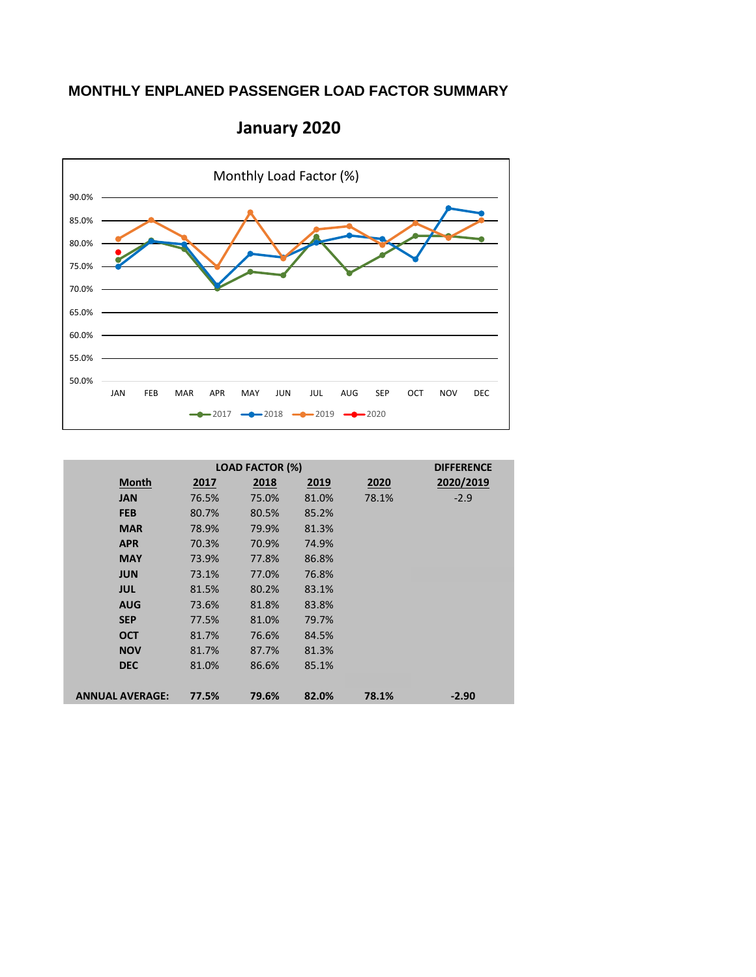#### **MONTHLY ENPLANED PASSENGER LOAD FACTOR SUMMARY**



**January 2020**

|                        | <b>LOAD FACTOR (%)</b> |       |       |       |           |  |  |  |
|------------------------|------------------------|-------|-------|-------|-----------|--|--|--|
| Month                  | 2017                   | 2018  | 2019  | 2020  | 2020/2019 |  |  |  |
| <b>JAN</b>             | 76.5%                  | 75.0% | 81.0% | 78.1% | $-2.9$    |  |  |  |
| <b>FEB</b>             | 80.7%                  | 80.5% | 85.2% |       |           |  |  |  |
| <b>MAR</b>             | 78.9%                  | 79.9% | 81.3% |       |           |  |  |  |
| <b>APR</b>             | 70.3%                  | 70.9% | 74.9% |       |           |  |  |  |
| <b>MAY</b>             | 73.9%                  | 77.8% | 86.8% |       |           |  |  |  |
| <b>JUN</b>             | 73.1%                  | 77.0% | 76.8% |       |           |  |  |  |
| <b>JUL</b>             | 81.5%                  | 80.2% | 83.1% |       |           |  |  |  |
| <b>AUG</b>             | 73.6%                  | 81.8% | 83.8% |       |           |  |  |  |
| <b>SEP</b>             | 77.5%                  | 81.0% | 79.7% |       |           |  |  |  |
| <b>OCT</b>             | 81.7%                  | 76.6% | 84.5% |       |           |  |  |  |
| <b>NOV</b>             | 81.7%                  | 87.7% | 81.3% |       |           |  |  |  |
| <b>DEC</b>             | 81.0%                  | 86.6% | 85.1% |       |           |  |  |  |
|                        |                        |       |       |       |           |  |  |  |
| <b>ANNUAL AVERAGE:</b> | 77.5%                  | 79.6% | 82.0% | 78.1% | $-2.90$   |  |  |  |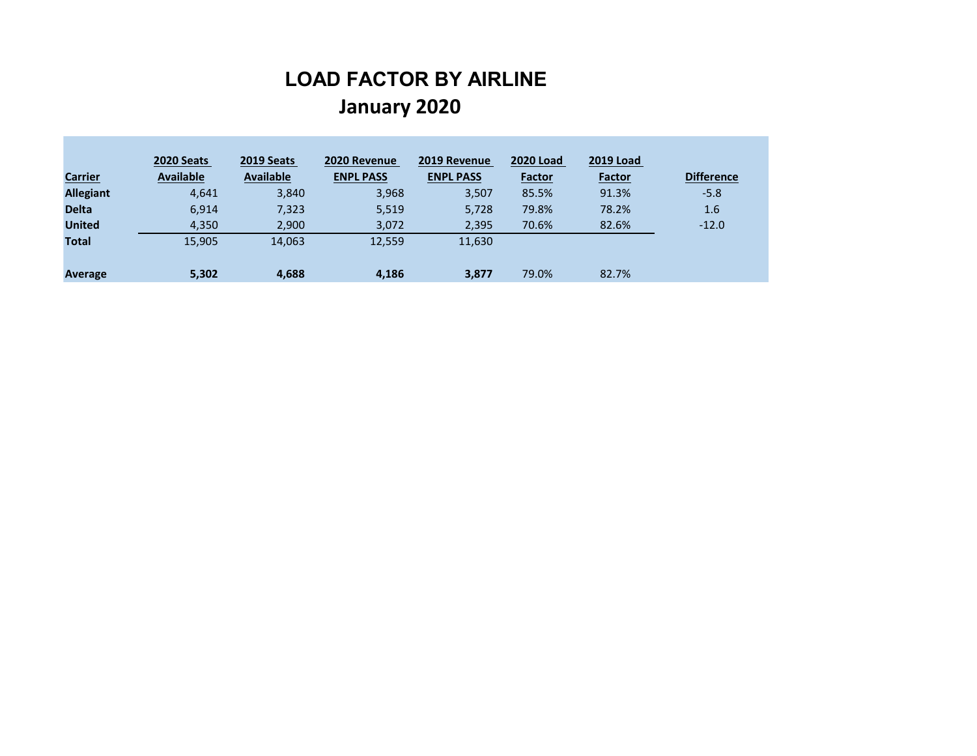## **LOAD FACTOR BY AIRLINE January 2020**

|                  | <b>2020 Seats</b> | 2019 Seats       | 2020 Revenue     | 2019 Revenue     | <b>2020 Load</b> | <b>2019 Load</b> |                   |
|------------------|-------------------|------------------|------------------|------------------|------------------|------------------|-------------------|
| <b>Carrier</b>   | <b>Available</b>  | <b>Available</b> | <b>ENPL PASS</b> | <b>ENPL PASS</b> | <b>Factor</b>    | <b>Factor</b>    | <b>Difference</b> |
| <b>Allegiant</b> | 4,641             | 3,840            | 3,968            | 3,507            | 85.5%            | 91.3%            | $-5.8$            |
| <b>Delta</b>     | 6,914             | 7,323            | 5,519            | 5,728            | 79.8%            | 78.2%            | 1.6               |
| <b>United</b>    | 4,350             | 2,900            | 3,072            | 2,395            | 70.6%            | 82.6%            | $-12.0$           |
| <b>Total</b>     | 15,905            | 14,063           | 12,559           | 11,630           |                  |                  |                   |
|                  |                   |                  |                  |                  |                  |                  |                   |
| <b>Average</b>   | 5,302             | 4,688            | 4,186            | 3,877            | 79.0%            | 82.7%            |                   |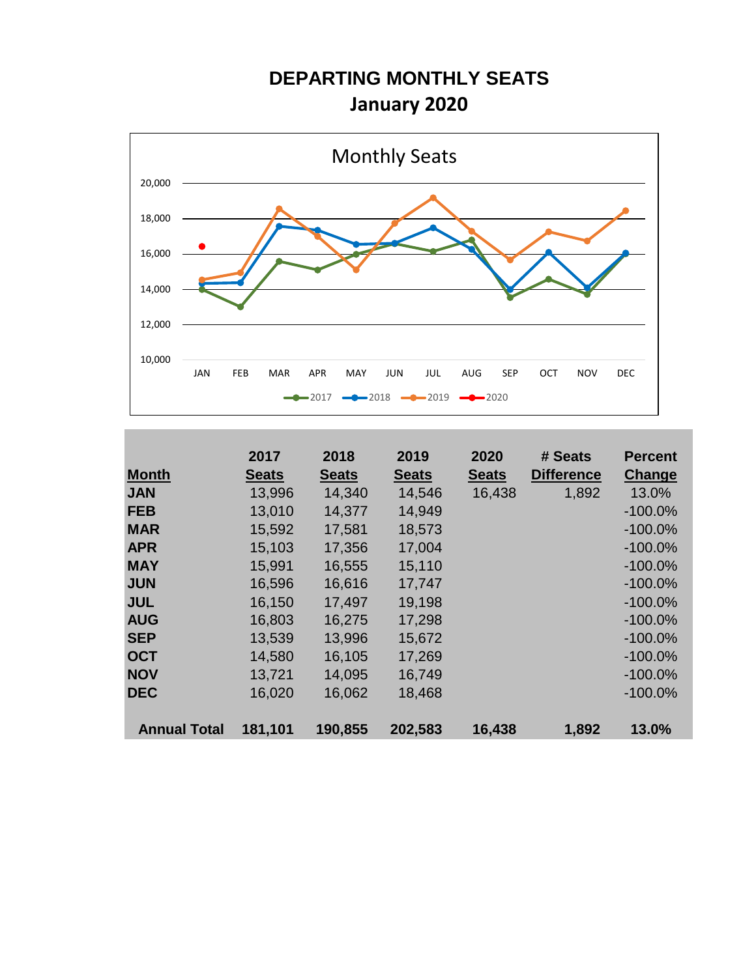## **DEPARTING MONTHLY SEATS January 2020**



|                     | 2017         | 2018         | 2019         | 2020         | # Seats           | <b>Percent</b> |
|---------------------|--------------|--------------|--------------|--------------|-------------------|----------------|
| <b>Month</b>        | <b>Seats</b> | <b>Seats</b> | <b>Seats</b> | <b>Seats</b> | <b>Difference</b> | Change         |
| <b>JAN</b>          | 13,996       | 14,340       | 14,546       | 16,438       | 1,892             | 13.0%          |
| <b>FEB</b>          | 13,010       | 14,377       | 14,949       |              |                   | $-100.0\%$     |
| <b>MAR</b>          | 15,592       | 17,581       | 18,573       |              |                   | $-100.0\%$     |
| <b>APR</b>          | 15,103       | 17,356       | 17,004       |              |                   | $-100.0\%$     |
| <b>MAY</b>          | 15,991       | 16,555       | 15,110       |              |                   | $-100.0\%$     |
| <b>JUN</b>          | 16,596       | 16,616       | 17,747       |              |                   | $-100.0\%$     |
| <b>JUL</b>          | 16,150       | 17,497       | 19,198       |              |                   | $-100.0\%$     |
| <b>AUG</b>          | 16,803       | 16,275       | 17,298       |              |                   | $-100.0\%$     |
| <b>SEP</b>          | 13,539       | 13,996       | 15,672       |              |                   | $-100.0\%$     |
| <b>OCT</b>          | 14,580       | 16,105       | 17,269       |              |                   | $-100.0\%$     |
| <b>NOV</b>          | 13,721       | 14,095       | 16,749       |              |                   | $-100.0\%$     |
| <b>DEC</b>          | 16,020       | 16,062       | 18,468       |              |                   | $-100.0\%$     |
|                     |              |              |              |              |                   |                |
| <b>Annual Total</b> | 181,101      | 190,855      | 202,583      | 16,438       | 1,892             | 13.0%          |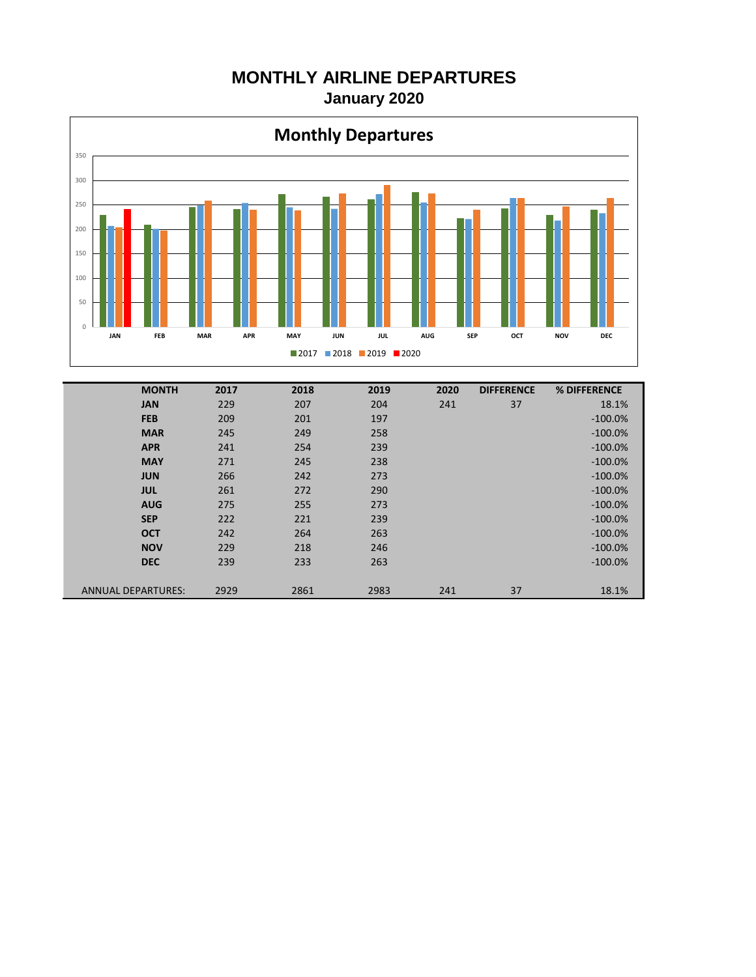#### **MONTHLY AIRLINE DEPARTURES January 2020**



| <b>MONTH</b>              | 2017 | 2018 | 2019 | 2020 | <b>DIFFERENCE</b> | % DIFFERENCE |
|---------------------------|------|------|------|------|-------------------|--------------|
| <b>JAN</b>                | 229  | 207  | 204  | 241  | 37                | 18.1%        |
| <b>FEB</b>                | 209  | 201  | 197  |      |                   | $-100.0\%$   |
| <b>MAR</b>                | 245  | 249  | 258  |      |                   | $-100.0\%$   |
| <b>APR</b>                | 241  | 254  | 239  |      |                   | $-100.0\%$   |
| <b>MAY</b>                | 271  | 245  | 238  |      |                   | $-100.0\%$   |
| <b>JUN</b>                | 266  | 242  | 273  |      |                   | $-100.0\%$   |
| <b>JUL</b>                | 261  | 272  | 290  |      |                   | $-100.0\%$   |
| <b>AUG</b>                | 275  | 255  | 273  |      |                   | $-100.0\%$   |
| <b>SEP</b>                | 222  | 221  | 239  |      |                   | $-100.0\%$   |
| <b>OCT</b>                | 242  | 264  | 263  |      |                   | $-100.0\%$   |
| <b>NOV</b>                | 229  | 218  | 246  |      |                   | $-100.0\%$   |
| <b>DEC</b>                | 239  | 233  | 263  |      |                   | $-100.0\%$   |
| <b>ANNUAL DEPARTURES:</b> | 2929 | 2861 | 2983 | 241  | 37                | 18.1%        |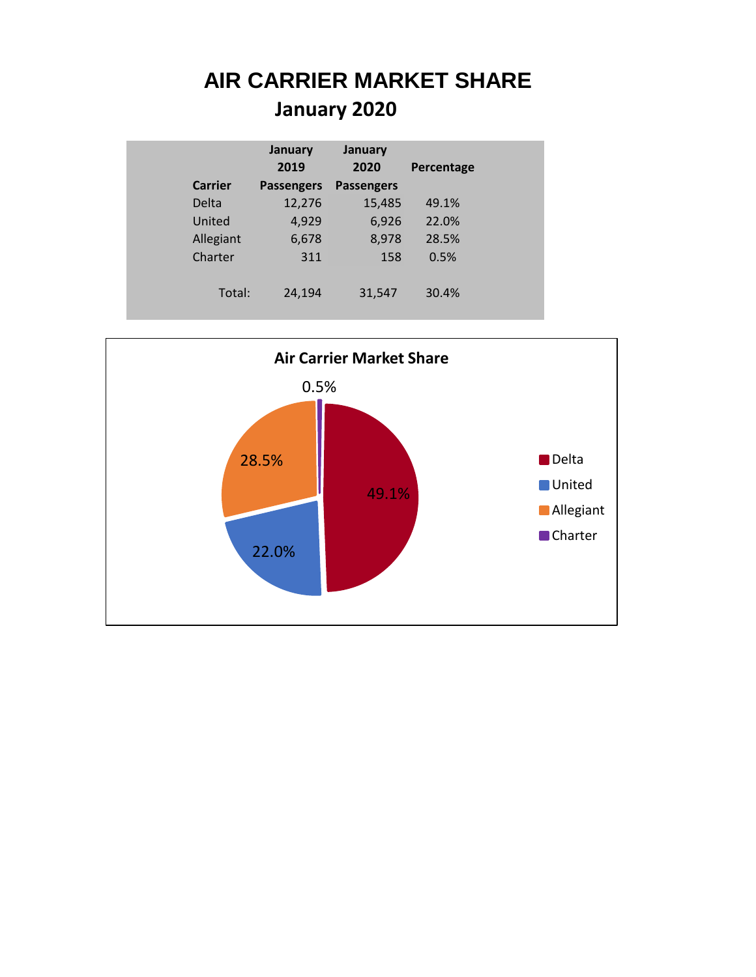# **AIR CARRIER MARKET SHARE January 2020**

|                | January           | January           |            |
|----------------|-------------------|-------------------|------------|
|                | 2019              | 2020              | Percentage |
| <b>Carrier</b> | <b>Passengers</b> | <b>Passengers</b> |            |
| Delta          | 12,276            | 15,485            | 49.1%      |
| United         | 4,929             | 6,926             | 22.0%      |
| Allegiant      | 6,678             | 8,978             | 28.5%      |
| Charter        | 311               | 158               | 0.5%       |
|                |                   |                   |            |
| Total:         | 24,194            | 31,547            | 30.4%      |
|                |                   |                   |            |

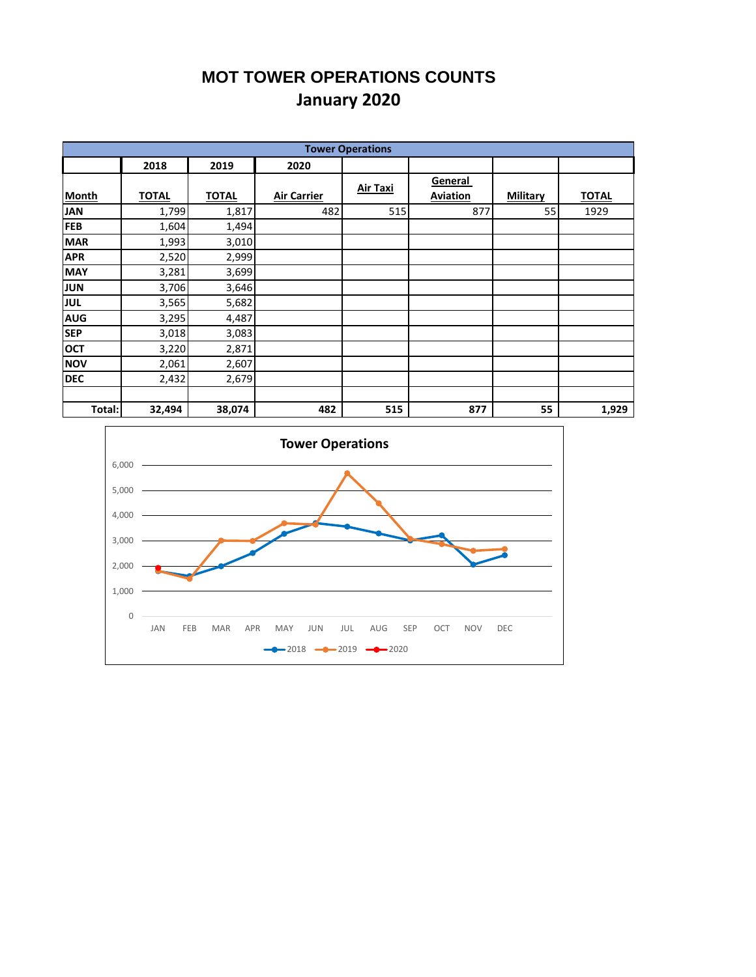#### **MOT TOWER OPERATIONS COUNTS January 2020**

|            | <b>Tower Operations</b> |              |                    |                 |                 |          |              |  |  |  |  |  |  |  |  |
|------------|-------------------------|--------------|--------------------|-----------------|-----------------|----------|--------------|--|--|--|--|--|--|--|--|
|            | 2018                    | 2019         | 2020               |                 |                 |          |              |  |  |  |  |  |  |  |  |
|            |                         |              |                    |                 | General         |          |              |  |  |  |  |  |  |  |  |
| Month      | <b>TOTAL</b>            | <b>TOTAL</b> | <b>Air Carrier</b> | <b>Air Taxi</b> | <b>Aviation</b> | Military | <b>TOTAL</b> |  |  |  |  |  |  |  |  |
| <b>JAN</b> | 1,799                   | 1,817        | 482                | 515             | 877             | 55       | 1929         |  |  |  |  |  |  |  |  |
| FEB        | 1,604                   | 1,494        |                    |                 |                 |          |              |  |  |  |  |  |  |  |  |
| <b>MAR</b> | 1,993                   | 3,010        |                    |                 |                 |          |              |  |  |  |  |  |  |  |  |
| <b>APR</b> | 2,520                   | 2,999        |                    |                 |                 |          |              |  |  |  |  |  |  |  |  |
| <b>MAY</b> | 3,281                   | 3,699        |                    |                 |                 |          |              |  |  |  |  |  |  |  |  |
| <b>JUN</b> | 3,706                   | 3,646        |                    |                 |                 |          |              |  |  |  |  |  |  |  |  |
| <b>JUL</b> | 3,565                   | 5,682        |                    |                 |                 |          |              |  |  |  |  |  |  |  |  |
| <b>AUG</b> | 3,295                   | 4,487        |                    |                 |                 |          |              |  |  |  |  |  |  |  |  |
| <b>SEP</b> | 3,018                   | 3,083        |                    |                 |                 |          |              |  |  |  |  |  |  |  |  |
| <b>OCT</b> | 3,220                   | 2,871        |                    |                 |                 |          |              |  |  |  |  |  |  |  |  |
| <b>NOV</b> | 2,061                   | 2,607        |                    |                 |                 |          |              |  |  |  |  |  |  |  |  |
| <b>DEC</b> | 2,432                   | 2,679        |                    |                 |                 |          |              |  |  |  |  |  |  |  |  |
|            |                         |              |                    |                 |                 |          |              |  |  |  |  |  |  |  |  |
| Total:     | 32,494                  | 38,074       | 482                | 515             | 877             | 55       | 1,929        |  |  |  |  |  |  |  |  |

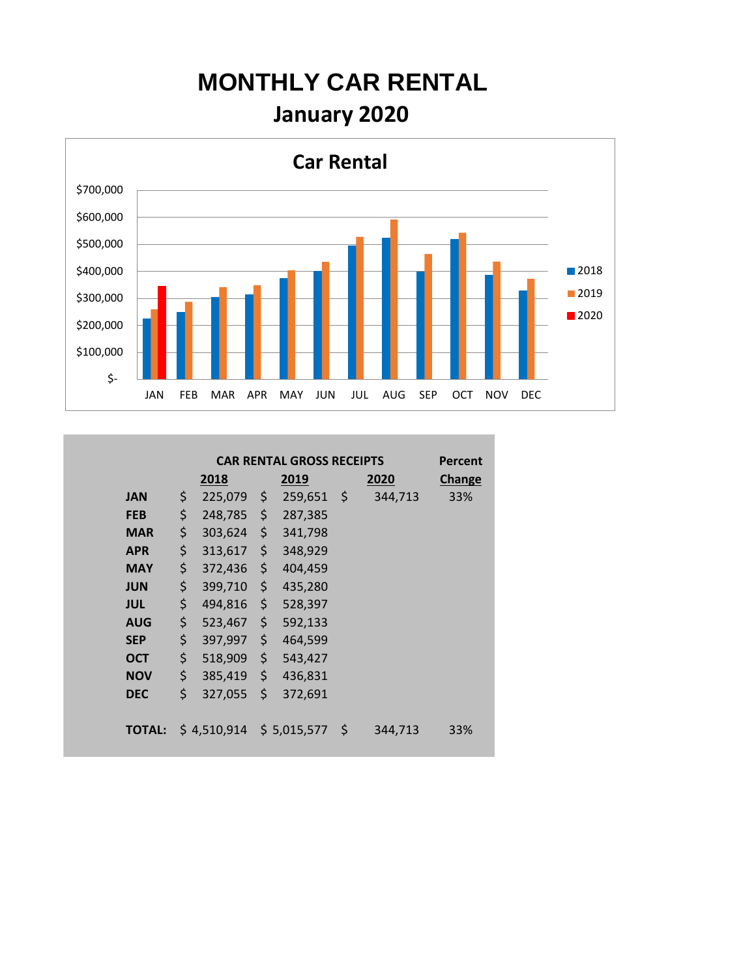# **MONTHLY CAR RENTAL January 2020**



|               | <b>CAR RENTAL GROSS RECEIPTS</b> |             |    |             |     |         |        |  |  |  |  |  |  |  |
|---------------|----------------------------------|-------------|----|-------------|-----|---------|--------|--|--|--|--|--|--|--|
|               |                                  | 2018        |    | 2019        |     | 2020    | Change |  |  |  |  |  |  |  |
| <b>JAN</b>    | \$                               | 225,079     | \$ | 259,651     | -\$ | 344,713 | 33%    |  |  |  |  |  |  |  |
| <b>FEB</b>    | \$                               | 248,785     | \$ | 287,385     |     |         |        |  |  |  |  |  |  |  |
| <b>MAR</b>    | \$                               | 303,624     | \$ | 341,798     |     |         |        |  |  |  |  |  |  |  |
| <b>APR</b>    | \$                               | 313,617     | \$ | 348,929     |     |         |        |  |  |  |  |  |  |  |
| <b>MAY</b>    | \$                               | 372,436     | \$ | 404,459     |     |         |        |  |  |  |  |  |  |  |
| <b>JUN</b>    | \$                               | 399,710     | \$ | 435,280     |     |         |        |  |  |  |  |  |  |  |
| JUL           | \$                               | 494,816     | \$ | 528,397     |     |         |        |  |  |  |  |  |  |  |
| <b>AUG</b>    | \$                               | 523,467     | \$ | 592,133     |     |         |        |  |  |  |  |  |  |  |
| <b>SEP</b>    | \$                               | 397,997     | \$ | 464,599     |     |         |        |  |  |  |  |  |  |  |
| <b>OCT</b>    | \$                               | 518,909     | \$ | 543,427     |     |         |        |  |  |  |  |  |  |  |
| <b>NOV</b>    | \$                               | 385,419     | \$ | 436,831     |     |         |        |  |  |  |  |  |  |  |
| <b>DEC</b>    | \$                               | 327,055     | \$ | 372,691     |     |         |        |  |  |  |  |  |  |  |
|               |                                  |             |    |             |     |         |        |  |  |  |  |  |  |  |
| <b>TOTAL:</b> |                                  | \$4,510,914 |    | \$5,015,577 | \$  | 344,713 | 33%    |  |  |  |  |  |  |  |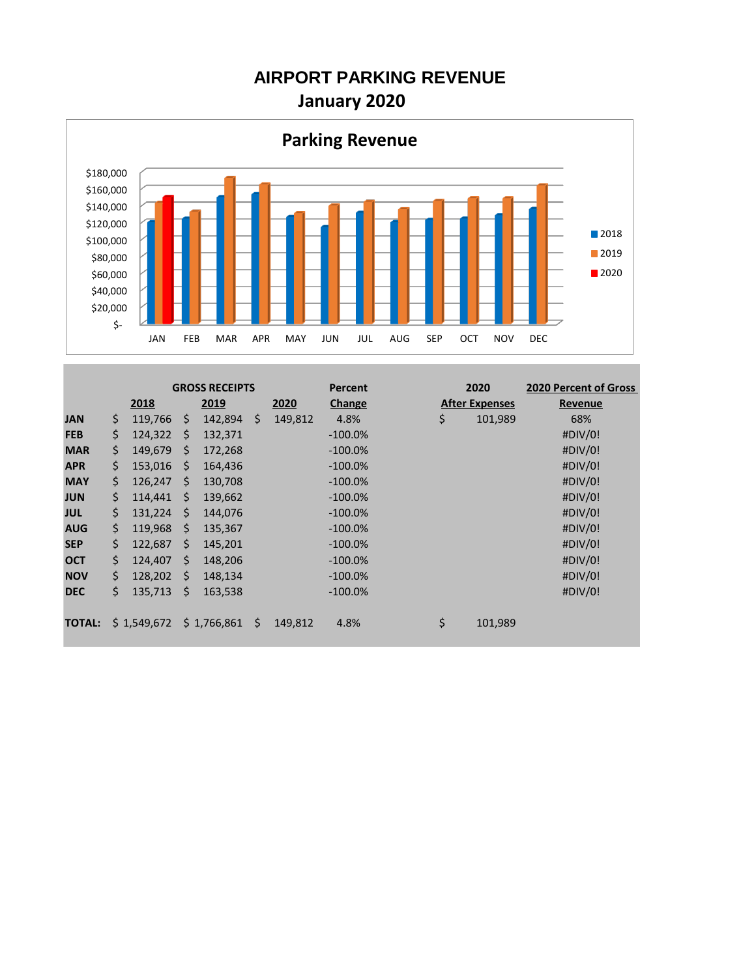**AIRPORT PARKING REVENUE January 2020**



|               | <b>GROSS RECEIPTS</b> |             |    |             |    | Percent |            |    | 2020                  | <b>2020 Percent of Gross</b> |
|---------------|-----------------------|-------------|----|-------------|----|---------|------------|----|-----------------------|------------------------------|
|               |                       | 2018        |    | 2019        |    | 2020    | Change     |    | <b>After Expenses</b> | Revenue                      |
| <b>JAN</b>    | \$                    | 119,766     | Ŝ. | 142,894     | Ŝ. | 149,812 | 4.8%       | \$ | 101,989               | 68%                          |
| <b>FEB</b>    | \$                    | 124,322     | Ś. | 132,371     |    |         | $-100.0%$  |    |                       | #DIV/0!                      |
| <b>MAR</b>    | \$                    | 149.679     | Ŝ. | 172,268     |    |         | $-100.0%$  |    |                       | #DIV/0!                      |
| <b>APR</b>    | \$                    | 153,016     | Ŝ. | 164,436     |    |         | $-100.0\%$ |    |                       | #DIV/0!                      |
| <b>MAY</b>    | \$                    | 126,247     | Ś. | 130,708     |    |         | $-100.0%$  |    |                       | #DIV/0!                      |
| <b>JUN</b>    | \$                    | 114,441     | Ŝ. | 139,662     |    |         | $-100.0%$  |    |                       | #DIV/0!                      |
| <b>JUL</b>    | \$                    | 131,224     | Ŝ. | 144,076     |    |         | $-100.0%$  |    |                       | #DIV/0!                      |
| <b>AUG</b>    | \$                    | 119.968     | Ś. | 135,367     |    |         | $-100.0%$  |    |                       | #DIV/0!                      |
| <b>SEP</b>    | \$                    | 122,687     | \$ | 145,201     |    |         | $-100.0%$  |    |                       | #DIV/0!                      |
| <b>OCT</b>    | \$                    | 124,407     | Ŝ. | 148,206     |    |         | $-100.0%$  |    |                       | #DIV/0!                      |
| <b>NOV</b>    | \$                    | 128,202     | Ś. | 148,134     |    |         | $-100.0%$  |    |                       | #DIV/0!                      |
| <b>DEC</b>    | \$                    | 135,713     | Ŝ. | 163,538     |    |         | $-100.0%$  |    |                       | #DIV/0!                      |
|               |                       |             |    |             |    |         |            |    |                       |                              |
| <b>TOTAL:</b> |                       | \$1,549,672 |    | \$1,766,861 | Ŝ. | 149,812 | 4.8%       | \$ | 101,989               |                              |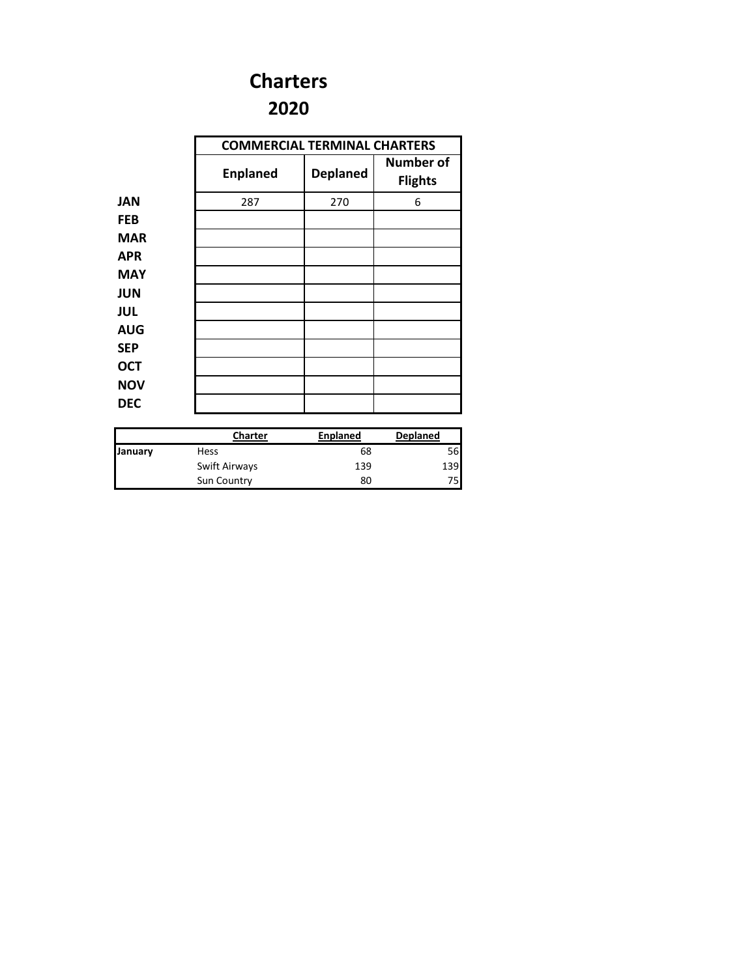## **Charters 2020**

|            | <b>COMMERCIAL TERMINAL CHARTERS</b> |                 |                                    |
|------------|-------------------------------------|-----------------|------------------------------------|
|            | <b>Enplaned</b>                     | <b>Deplaned</b> | <b>Number of</b><br><b>Flights</b> |
| <b>JAN</b> | 287                                 | 270             | 6                                  |
| <b>FEB</b> |                                     |                 |                                    |
| <b>MAR</b> |                                     |                 |                                    |
| <b>APR</b> |                                     |                 |                                    |
| <b>MAY</b> |                                     |                 |                                    |
| <b>JUN</b> |                                     |                 |                                    |
| <b>JUL</b> |                                     |                 |                                    |
| <b>AUG</b> |                                     |                 |                                    |
| <b>SEP</b> |                                     |                 |                                    |
| <b>OCT</b> |                                     |                 |                                    |
| <b>NOV</b> |                                     |                 |                                    |
| DEC        |                                     |                 |                                    |

|         | Charter       | <b>Enplaned</b> | <b>Deplaned</b> |
|---------|---------------|-----------------|-----------------|
| January | Hess          | 68              | 56              |
|         | Swift Airways | 139             | 139             |
|         | Sun Country   | 80              | 75              |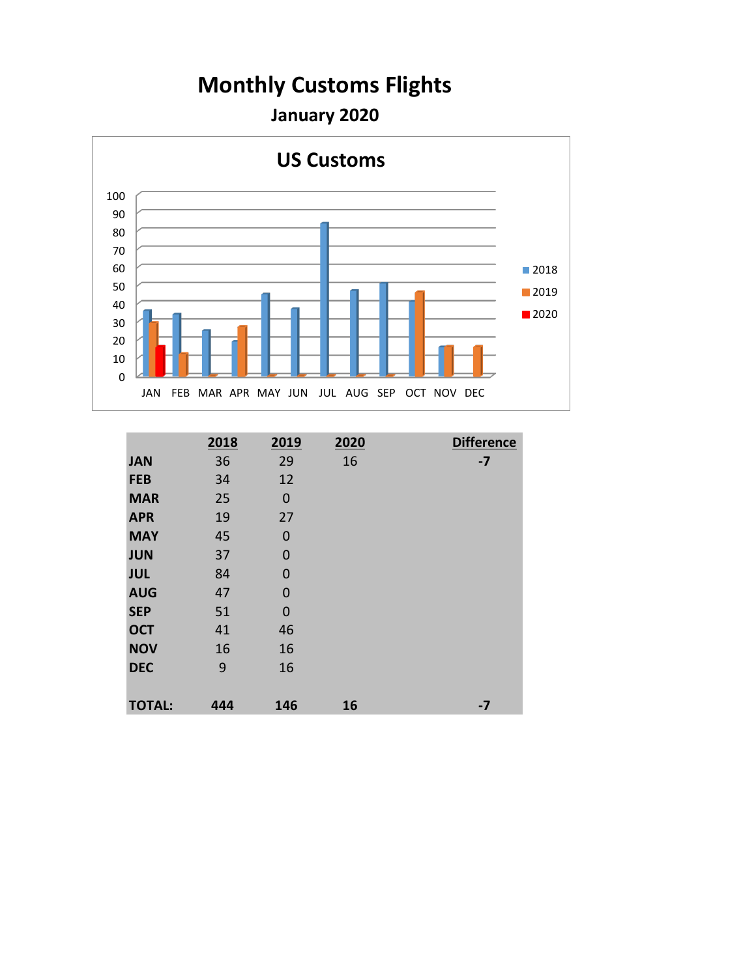# **Monthly Customs Flights**

**January 2020**



|               | 2018 | 2019        | 2020 | <b>Difference</b> |
|---------------|------|-------------|------|-------------------|
| <b>JAN</b>    | 36   | 29          | 16   | $-7$              |
| <b>FEB</b>    | 34   | 12          |      |                   |
| <b>MAR</b>    | 25   | 0           |      |                   |
| <b>APR</b>    | 19   | 27          |      |                   |
| <b>MAY</b>    | 45   | 0           |      |                   |
| <b>JUN</b>    | 37   | $\Omega$    |      |                   |
| <b>JUL</b>    | 84   | 0           |      |                   |
| <b>AUG</b>    | 47   | $\Omega$    |      |                   |
| <b>SEP</b>    | 51   | $\mathbf 0$ |      |                   |
| <b>OCT</b>    | 41   | 46          |      |                   |
| <b>NOV</b>    | 16   | 16          |      |                   |
| <b>DEC</b>    | 9    | 16          |      |                   |
|               |      |             |      |                   |
| <b>TOTAL:</b> | 444  | 146         | 16   | $-7$              |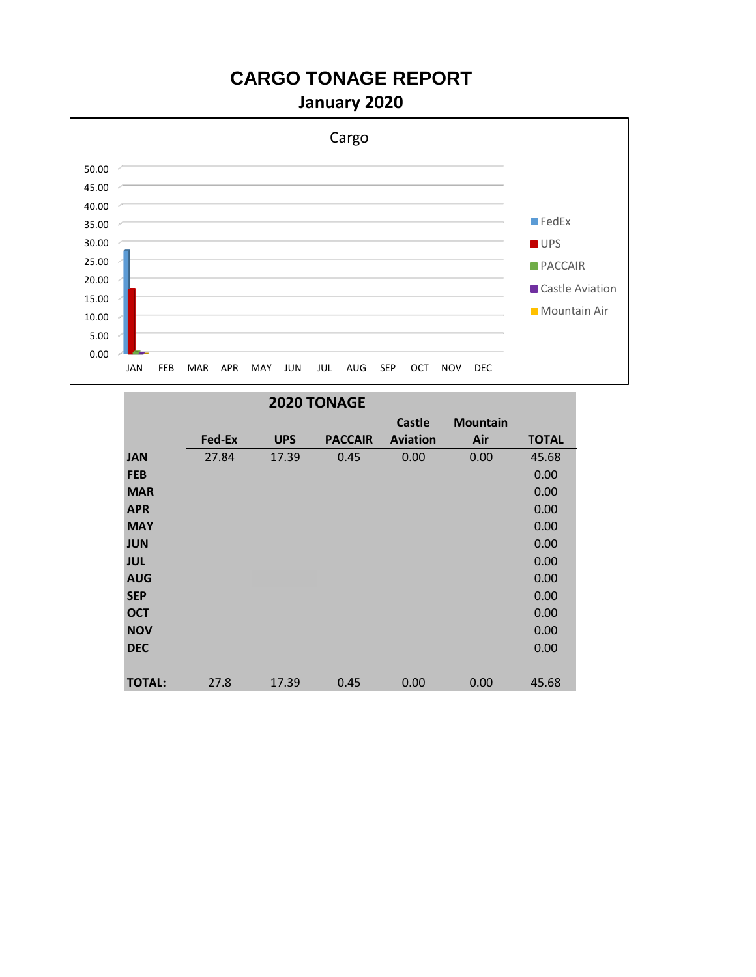### **CARGO TONAGE REPORT**

**January 2020**



|               |        |            | 2020 TONAGE    |                 |                 |              |
|---------------|--------|------------|----------------|-----------------|-----------------|--------------|
|               |        |            |                | <b>Castle</b>   | <b>Mountain</b> |              |
|               | Fed-Ex | <b>UPS</b> | <b>PACCAIR</b> | <b>Aviation</b> | Air             | <b>TOTAL</b> |
| <b>JAN</b>    | 27.84  | 17.39      | 0.45           | 0.00            | 0.00            | 45.68        |
| <b>FEB</b>    |        |            |                |                 |                 | 0.00         |
| <b>MAR</b>    |        |            |                |                 |                 | 0.00         |
| <b>APR</b>    |        |            |                |                 |                 | 0.00         |
| <b>MAY</b>    |        |            |                |                 |                 | 0.00         |
| <b>JUN</b>    |        |            |                |                 |                 | 0.00         |
| <b>JUL</b>    |        |            |                |                 |                 | 0.00         |
| <b>AUG</b>    |        |            |                |                 |                 | 0.00         |
| <b>SEP</b>    |        |            |                |                 |                 | 0.00         |
| <b>OCT</b>    |        |            |                |                 |                 | 0.00         |
| <b>NOV</b>    |        |            |                |                 |                 | 0.00         |
| <b>DEC</b>    |        |            |                |                 |                 | 0.00         |
|               |        |            |                |                 |                 |              |
| <b>TOTAL:</b> | 27.8   | 17.39      | 0.45           | 0.00            | 0.00            | 45.68        |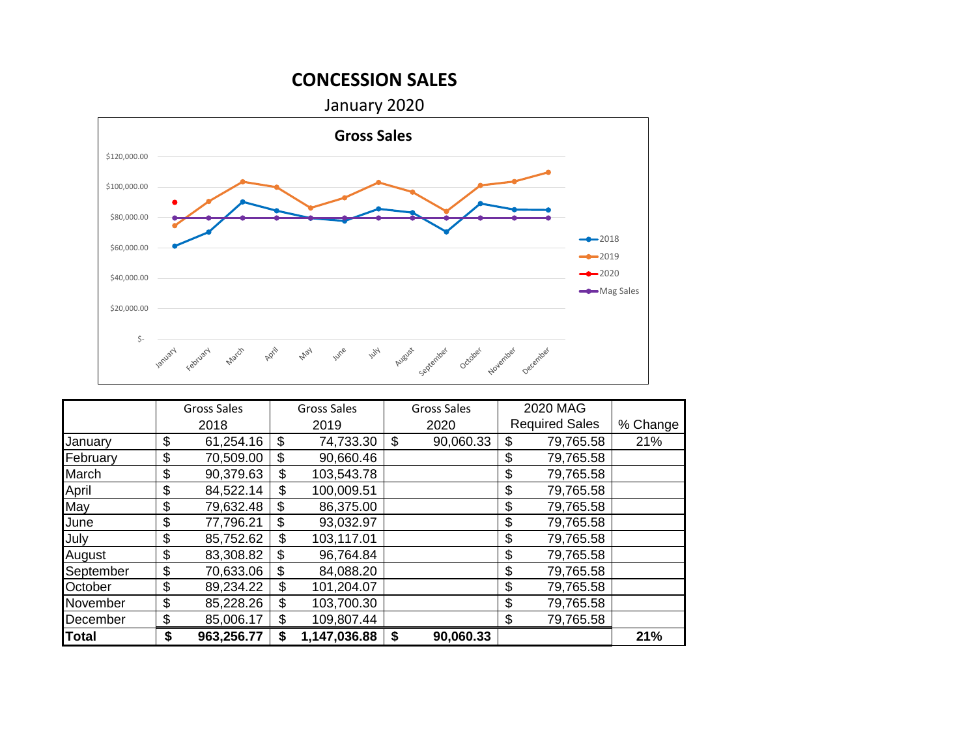#### **CONCESSION SALES**

January 2020



|              |                 | Gross Sales |                  | <b>Gross Sales</b> |    | <b>Gross Sales</b> |                 | 2020 MAG              |          |
|--------------|-----------------|-------------|------------------|--------------------|----|--------------------|-----------------|-----------------------|----------|
|              |                 | 2018        | 2019             |                    |    | 2020               |                 | <b>Required Sales</b> | % Change |
| January      | \$<br>61,254.16 |             | \$<br>74,733.30  |                    | \$ | 90,060.33          |                 | 79,765.58             | 21%      |
| February     | \$              | 70,509.00   | \$               | 90,660.46          |    |                    | \$              | 79,765.58             |          |
| March        | \$              | 90,379.63   | \$               | 103,543.78         |    |                    | \$              | 79,765.58             |          |
| April        | \$<br>84,522.14 |             | \$               | 100,009.51         |    |                    | \$              | 79,765.58             |          |
| May          | \$<br>79,632.48 |             | \$               | 86,375.00          |    |                    | \$<br>79,765.58 |                       |          |
| June         | \$              | 77,796.21   | \$               | 93,032.97          |    |                    | \$              | 79,765.58             |          |
| July         | \$              | 85,752.62   | \$               | 103,117.01         |    |                    | \$              | 79,765.58             |          |
| August       | \$              | 83,308.82   | \$               | 96,764.84          |    |                    | \$              | 79,765.58             |          |
| September    | \$              | 70,633.06   | \$               | 84,088.20          |    |                    | \$              | 79,765.58             |          |
| October      | \$              | 89,234.22   | \$               | 101,204.07         |    |                    | \$              | 79,765.58             |          |
| November     | \$              | 85,228.26   | \$               | 103,700.30         |    |                    | \$              | 79,765.58             |          |
| December     | \$<br>85,006.17 |             | \$<br>109,807.44 |                    |    |                    | \$<br>79,765.58 |                       |          |
| <b>Total</b> | \$              | 963,256.77  | \$               | 1,147,036.88       | \$ | 90,060.33          |                 |                       | 21%      |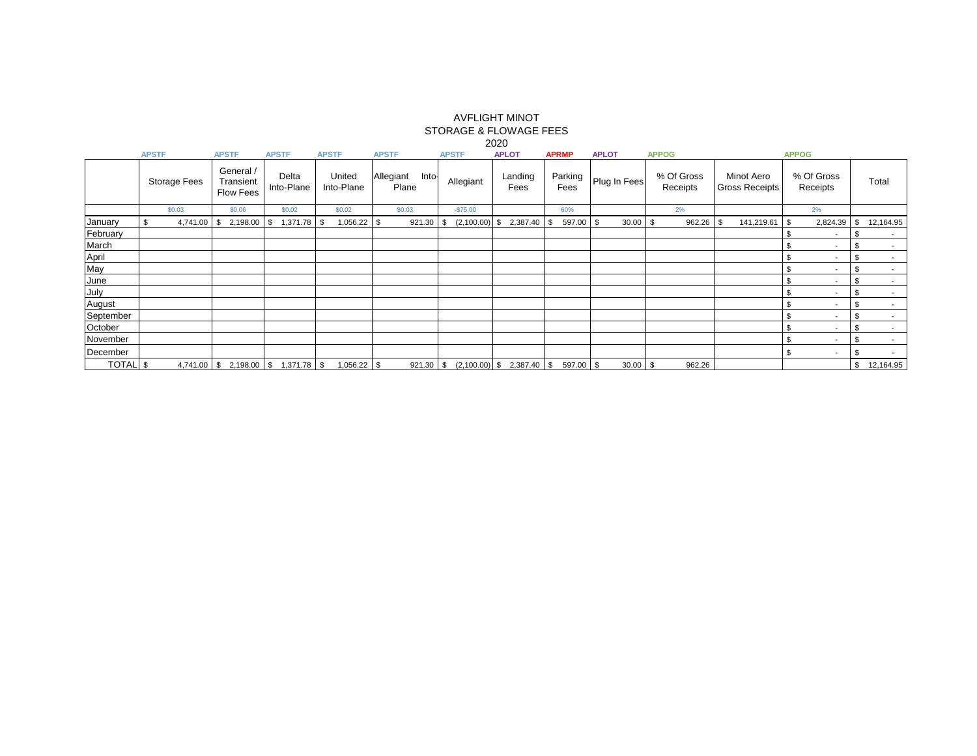|             |                     |                                            |                                     |                      |                             |                                                                              | 2020                        |                   |              |                        |                                     |                                |                                |
|-------------|---------------------|--------------------------------------------|-------------------------------------|----------------------|-----------------------------|------------------------------------------------------------------------------|-----------------------------|-------------------|--------------|------------------------|-------------------------------------|--------------------------------|--------------------------------|
|             | <b>APSTF</b>        | <b>APSTF</b>                               | <b>APSTF</b>                        | <b>APSTF</b>         | <b>APSTF</b>                | <b>APLOT</b><br><b>APLOT</b><br><b>APPOG</b><br><b>APSTF</b><br><b>APRMP</b> |                             |                   |              |                        |                                     | <b>APPOG</b>                   |                                |
|             | <b>Storage Fees</b> | General /<br>Transient<br><b>Flow Fees</b> | Delta<br>Into-Plane                 | United<br>Into-Plane | Allegiant<br>Into-<br>Plane | Allegiant                                                                    | Landing<br>Fees             | Parking<br>Fees   | Plug In Fees | % Of Gross<br>Receipts | Minot Aero<br><b>Gross Receipts</b> | % Of Gross<br>Receipts         | Total                          |
|             | \$0.03              | \$0.06                                     | \$0.02                              | \$0.02               | \$0.03                      | $-$75.00$                                                                    |                             | 60%               |              | 2%                     |                                     | 2%                             |                                |
| January     | \$<br>4,741.00      | 2,198.00<br>\$                             | 1,371.78<br>S.                      | 1,056.22<br>S.       | 921.30<br>- \$              | (2,100.00)<br>\$                                                             | S.<br>2,387.40              | 597.00 \$<br>- \$ | $30.00$ \$   | 962.26                 | 141,219.61                          | 2,824.39<br>- \$               | 12,164.95<br>\$                |
| February    |                     |                                            |                                     |                      |                             |                                                                              |                             |                   |              |                        |                                     | $\overline{\phantom{a}}$       |                                |
| March       |                     |                                            |                                     |                      |                             |                                                                              |                             |                   |              |                        |                                     | \$<br>$\overline{\phantom{a}}$ | $\overline{\phantom{a}}$       |
| April       |                     |                                            |                                     |                      |                             |                                                                              |                             |                   |              |                        |                                     | \$<br>$\overline{\phantom{a}}$ | $\overline{\phantom{a}}$       |
| May         |                     |                                            |                                     |                      |                             |                                                                              |                             |                   |              |                        |                                     | \$<br>$\overline{\phantom{a}}$ | $\overline{\phantom{a}}$       |
| June        |                     |                                            |                                     |                      |                             |                                                                              |                             |                   |              |                        |                                     | S<br>$\overline{\phantom{a}}$  | $\sim$                         |
| <b>July</b> |                     |                                            |                                     |                      |                             |                                                                              |                             |                   |              |                        |                                     | S.<br>$\overline{\phantom{a}}$ | $\overline{\phantom{a}}$       |
| August      |                     |                                            |                                     |                      |                             |                                                                              |                             |                   |              |                        |                                     | \$<br>$\overline{\phantom{a}}$ | \$<br>$\overline{\phantom{a}}$ |
| September   |                     |                                            |                                     |                      |                             |                                                                              |                             |                   |              |                        |                                     | \$<br>$\overline{\phantom{a}}$ |                                |
| October     |                     |                                            |                                     |                      |                             |                                                                              |                             |                   |              |                        |                                     | \$<br>$\overline{\phantom{a}}$ |                                |
| November    |                     |                                            |                                     |                      |                             |                                                                              |                             |                   |              |                        |                                     | \$<br>$\overline{\phantom{a}}$ | $\overline{\phantom{a}}$       |
| December    |                     |                                            |                                     |                      |                             |                                                                              |                             |                   |              |                        |                                     | \$<br>$\overline{\phantom{a}}$ |                                |
| TOTAL \$    |                     |                                            | 4,741.00 \$ 2,198.00 \$ 1,371.78 \$ | $1,056.22$ \$        | 921.30                      | \$                                                                           | $(2,100.00)$ \$ 2,387.40 \$ | 597.00 \$         | $30.00$ \$   | 962.26                 |                                     |                                | 12,164.95<br>\$                |

#### AVFLIGHT MINOT STORAGE & FLOWAGE FEES